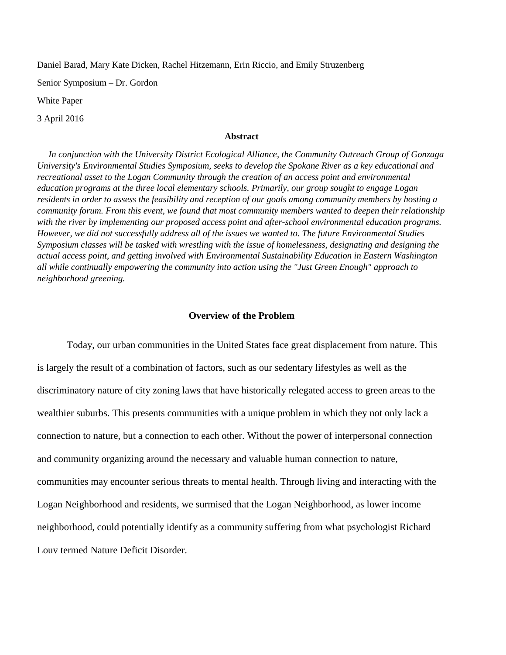Daniel Barad, Mary Kate Dicken, Rachel Hitzemann, Erin Riccio, and Emily Struzenberg

Senior Symposium – Dr. Gordon

White Paper

3 April 2016

# **Abstract**

 *In conjunction with the University District Ecological Alliance, the Community Outreach Group of Gonzaga University's Environmental Studies Symposium, seeks to develop the Spokane River as a key educational and recreational asset to the Logan Community through the creation of an access point and environmental education programs at the three local elementary schools. Primarily, our group sought to engage Logan residents in order to assess the feasibility and reception of our goals among community members by hosting a community forum. From this event, we found that most community members wanted to deepen their relationship with the river by implementing our proposed access point and after-school environmental education programs. However, we did not successfully address all of the issues we wanted to. The future Environmental Studies Symposium classes will be tasked with wrestling with the issue of homelessness, designating and designing the actual access point, and getting involved with Environmental Sustainability Education in Eastern Washington all while continually empowering the community into action using the "Just Green Enough" approach to neighborhood greening.*

# **Overview of the Problem**

Today, our urban communities in the United States face great displacement from nature. This is largely the result of a combination of factors, such as our sedentary lifestyles as well as the discriminatory nature of city zoning laws that have historically relegated access to green areas to the wealthier suburbs. This presents communities with a unique problem in which they not only lack a connection to nature, but a connection to each other. Without the power of interpersonal connection and community organizing around the necessary and valuable human connection to nature, communities may encounter serious threats to mental health. Through living and interacting with the Logan Neighborhood and residents, we surmised that the Logan Neighborhood, as lower income neighborhood, could potentially identify as a community suffering from what psychologist Richard Louv termed Nature Deficit Disorder.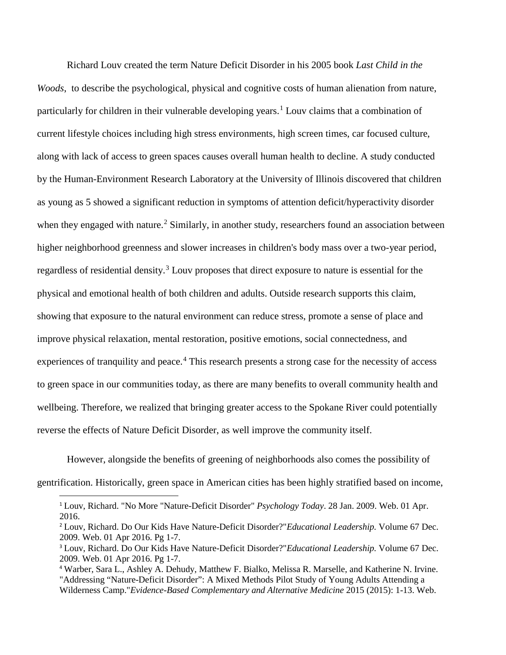Richard Louv created the term Nature Deficit Disorder in his 2005 book *Last Child in the Woods*, to describe the psychological, physical and cognitive costs of human alienation from nature, particularly for children in their vulnerable developing years.<sup>[1](#page-1-0)</sup> Louv claims that a combination of current lifestyle choices including high stress environments, high screen times, car focused culture, along with lack of access to green spaces causes overall human health to decline. A study conducted by the Human-Environment Research Laboratory at the University of Illinois discovered that children as young as 5 showed a significant reduction in symptoms of attention deficit/hyperactivity disorder when they engaged with nature.<sup>[2](#page-1-1)</sup> Similarly, in another study, researchers found an association between higher neighborhood greenness and slower increases in children's body mass over a two-year period, regardless of residential density.<sup>[3](#page-1-2)</sup> Louv proposes that direct exposure to nature is essential for the physical and emotional health of both children and adults. Outside research supports this claim, showing that exposure to the natural environment can reduce stress, promote a sense of place and improve physical relaxation, mental restoration, positive emotions, social connectedness, and experiences of tranquility and peace.<sup>[4](#page-1-3)</sup> This research presents a strong case for the necessity of access to green space in our communities today, as there are many benefits to overall community health and wellbeing. Therefore, we realized that bringing greater access to the Spokane River could potentially reverse the effects of Nature Deficit Disorder, as well improve the community itself.

However, alongside the benefits of greening of neighborhoods also comes the possibility of gentrification. Historically, green space in American cities has been highly stratified based on income,

<span id="page-1-0"></span> <sup>1</sup> Louv, Richard. "No More "Nature-Deficit Disorder" *Psychology Today*. 28 Jan. 2009. Web. 01 Apr. 2016.

<span id="page-1-1"></span><sup>2</sup> Louv, Richard. Do Our Kids Have Nature-Deficit Disorder?"*Educational Leadership.* Volume 67 Dec. 2009. Web. 01 Apr 2016. Pg 1-7.

<span id="page-1-2"></span><sup>3</sup> Louv, Richard. Do Our Kids Have Nature-Deficit Disorder?"*Educational Leadership.* Volume 67 Dec. 2009. Web. 01 Apr 2016. Pg 1-7.

<span id="page-1-3"></span><sup>4</sup> Warber, Sara L., Ashley A. Dehudy, Matthew F. Bialko, Melissa R. Marselle, and Katherine N. Irvine. "Addressing "Nature-Deficit Disorder": A Mixed Methods Pilot Study of Young Adults Attending a Wilderness Camp."*Evidence-Based Complementary and Alternative Medicine* 2015 (2015): 1-13. Web.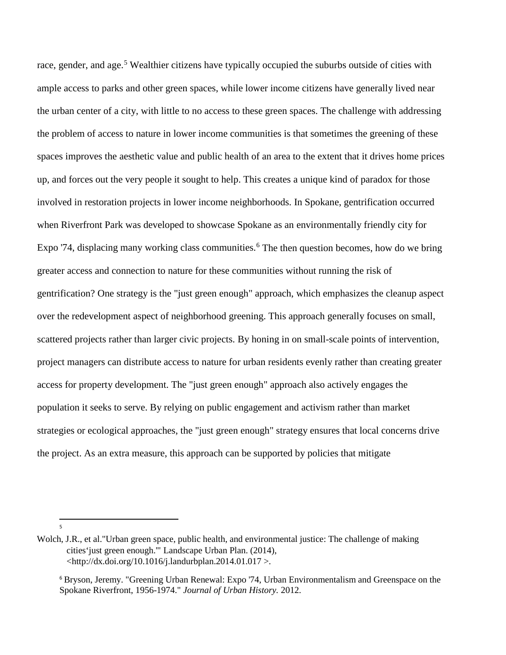race, gender, and age.<sup>[5](#page-2-0)</sup> Wealthier citizens have typically occupied the suburbs outside of cities with ample access to parks and other green spaces, while lower income citizens have generally lived near the urban center of a city, with little to no access to these green spaces. The challenge with addressing the problem of access to nature in lower income communities is that sometimes the greening of these spaces improves the aesthetic value and public health of an area to the extent that it drives home prices up, and forces out the very people it sought to help. This creates a unique kind of paradox for those involved in restoration projects in lower income neighborhoods. In Spokane, gentrification occurred when Riverfront Park was developed to showcase Spokane as an environmentally friendly city for Expo '74, displacing many working class communities.<sup>[6](#page-2-1)</sup> The then question becomes, how do we bring greater access and connection to nature for these communities without running the risk of gentrification? One strategy is the "just green enough" approach, which emphasizes the cleanup aspect over the redevelopment aspect of neighborhood greening. This approach generally focuses on small, scattered projects rather than larger civic projects. By honing in on small-scale points of intervention, project managers can distribute access to nature for urban residents evenly rather than creating greater access for property development. The "just green enough" approach also actively engages the population it seeks to serve. By relying on public engagement and activism rather than market strategies or ecological approaches, the "just green enough" strategy ensures that local concerns drive the project. As an extra measure, this approach can be supported by policies that mitigate

-<br>5

<span id="page-2-1"></span><span id="page-2-0"></span>Wolch, J.R., et al."Urban green space, public health, and environmental justice: The challenge of making cities'just green enough.'" Landscape Urban Plan. (2014),  $\lt$ http://dx.doi.org/10.1016/j.landurbplan.2014.01.017 >.

<sup>6</sup> Bryson, Jeremy. "Greening Urban Renewal: Expo '74, Urban Environmentalism and Greenspace on the Spokane Riverfront, 1956-1974." *Journal of Urban History.* 2012.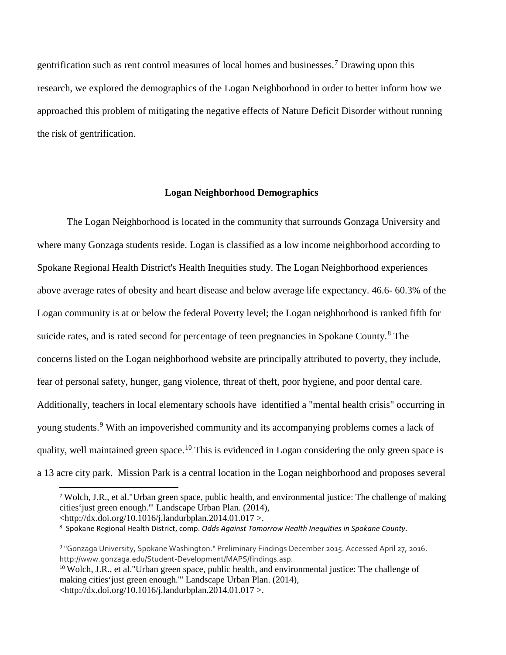gentrification such as rent control measures of local homes and businesses.[7](#page-3-0) Drawing upon this research, we explored the demographics of the Logan Neighborhood in order to better inform how we approached this problem of mitigating the negative effects of Nature Deficit Disorder without running the risk of gentrification.

# **Logan Neighborhood Demographics**

The Logan Neighborhood is located in the community that surrounds Gonzaga University and where many Gonzaga students reside. Logan is classified as a low income neighborhood according to Spokane Regional Health District's Health Inequities study. The Logan Neighborhood experiences above average rates of obesity and heart disease and below average life expectancy. 46.6- 60.3% of the Logan community is at or below the federal Poverty level; the Logan neighborhood is ranked fifth for suicide rates, and is rated second for percentage of teen pregnancies in Spokane County.<sup>[8](#page-3-1)</sup> The concerns listed on the Logan neighborhood website are principally attributed to poverty, they include, fear of personal safety, hunger, gang violence, threat of theft, poor hygiene, and poor dental care. Additionally, teachers in local elementary schools have identified a "mental health crisis" occurring in young students.<sup>[9](#page-3-2)</sup> With an impoverished community and its accompanying problems comes a lack of quality, well maintained green space.<sup>[10](#page-3-3)</sup> This is evidenced in Logan considering the only green space is a 13 acre city park. Mission Park is a central location in the Logan neighborhood and proposes several

<span id="page-3-0"></span> <sup>7</sup> Wolch, J.R., et al."Urban green space, public health, and environmental justice: The challenge of making cities'just green enough.'" Landscape Urban Plan. (2014),

 $\lt$ http://dx.doi.org/10.1016/j.landurbplan.2014.01.017 >.

<span id="page-3-1"></span><sup>8</sup> Spokane Regional Health District, comp. *Odds Against Tomorrow Health Inequities in Spokane County*.

<span id="page-3-2"></span><sup>9</sup> "Gonzaga University, Spokane Washington." Preliminary Findings December 2015. Accessed April 27, 2016. http://www.gonzaga.edu/Student-Development/MAPS/findings.asp.

<span id="page-3-3"></span><sup>10</sup> Wolch, J.R., et al."Urban green space, public health, and environmental justice: The challenge of making cities'just green enough.'" Landscape Urban Plan. (2014),  $\lt$ http://dx.doi.org/10.1016/j.landurbplan.2014.01.017 >.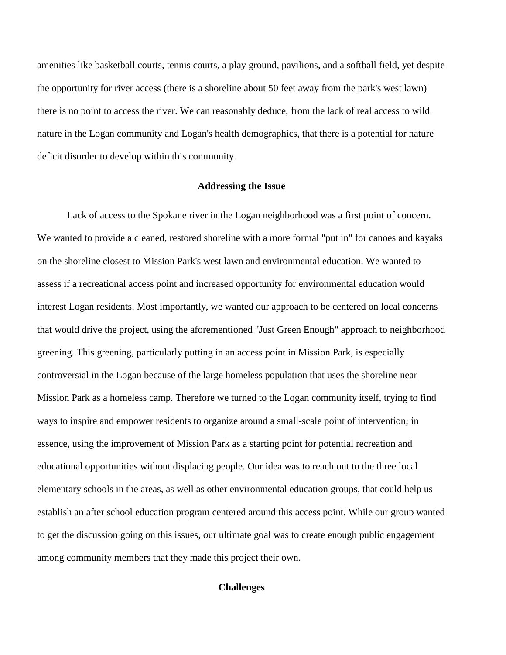amenities like basketball courts, tennis courts, a play ground, pavilions, and a softball field, yet despite the opportunity for river access (there is a shoreline about 50 feet away from the park's west lawn) there is no point to access the river. We can reasonably deduce, from the lack of real access to wild nature in the Logan community and Logan's health demographics, that there is a potential for nature deficit disorder to develop within this community.

### **Addressing the Issue**

Lack of access to the Spokane river in the Logan neighborhood was a first point of concern. We wanted to provide a cleaned, restored shoreline with a more formal "put in" for canoes and kayaks on the shoreline closest to Mission Park's west lawn and environmental education. We wanted to assess if a recreational access point and increased opportunity for environmental education would interest Logan residents. Most importantly, we wanted our approach to be centered on local concerns that would drive the project, using the aforementioned "Just Green Enough" approach to neighborhood greening. This greening, particularly putting in an access point in Mission Park, is especially controversial in the Logan because of the large homeless population that uses the shoreline near Mission Park as a homeless camp. Therefore we turned to the Logan community itself, trying to find ways to inspire and empower residents to organize around a small-scale point of intervention; in essence, using the improvement of Mission Park as a starting point for potential recreation and educational opportunities without displacing people. Our idea was to reach out to the three local elementary schools in the areas, as well as other environmental education groups, that could help us establish an after school education program centered around this access point. While our group wanted to get the discussion going on this issues, our ultimate goal was to create enough public engagement among community members that they made this project their own.

### **Challenges**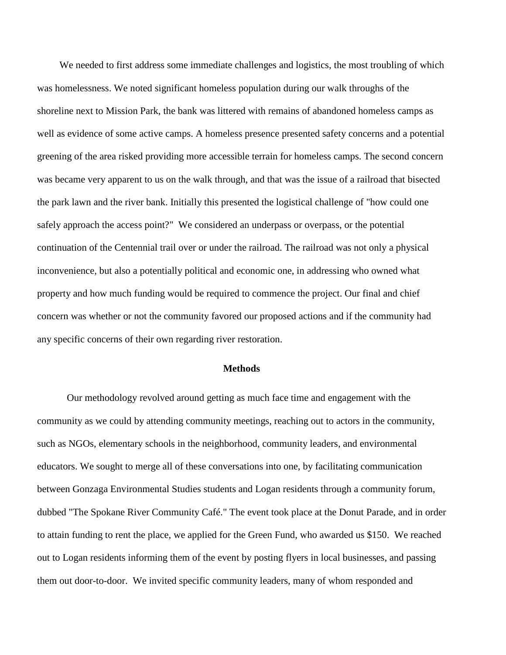We needed to first address some immediate challenges and logistics, the most troubling of which was homelessness. We noted significant homeless population during our walk throughs of the shoreline next to Mission Park, the bank was littered with remains of abandoned homeless camps as well as evidence of some active camps. A homeless presence presented safety concerns and a potential greening of the area risked providing more accessible terrain for homeless camps. The second concern was became very apparent to us on the walk through, and that was the issue of a railroad that bisected the park lawn and the river bank. Initially this presented the logistical challenge of "how could one safely approach the access point?" We considered an underpass or overpass, or the potential continuation of the Centennial trail over or under the railroad. The railroad was not only a physical inconvenience, but also a potentially political and economic one, in addressing who owned what property and how much funding would be required to commence the project. Our final and chief concern was whether or not the community favored our proposed actions and if the community had any specific concerns of their own regarding river restoration.

#### **Methods**

Our methodology revolved around getting as much face time and engagement with the community as we could by attending community meetings, reaching out to actors in the community, such as NGOs, elementary schools in the neighborhood, community leaders, and environmental educators. We sought to merge all of these conversations into one, by facilitating communication between Gonzaga Environmental Studies students and Logan residents through a community forum, dubbed "The Spokane River Community Café." The event took place at the Donut Parade, and in order to attain funding to rent the place, we applied for the Green Fund, who awarded us \$150. We reached out to Logan residents informing them of the event by posting flyers in local businesses, and passing them out door-to-door. We invited specific community leaders, many of whom responded and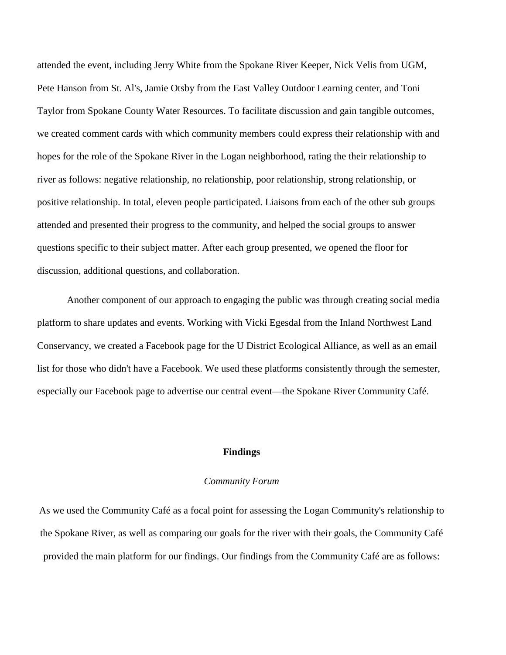attended the event, including Jerry White from the Spokane River Keeper, Nick Velis from UGM, Pete Hanson from St. Al's, Jamie Otsby from the East Valley Outdoor Learning center, and Toni Taylor from Spokane County Water Resources. To facilitate discussion and gain tangible outcomes, we created comment cards with which community members could express their relationship with and hopes for the role of the Spokane River in the Logan neighborhood, rating the their relationship to river as follows: negative relationship, no relationship, poor relationship, strong relationship, or positive relationship. In total, eleven people participated. Liaisons from each of the other sub groups attended and presented their progress to the community, and helped the social groups to answer questions specific to their subject matter. After each group presented, we opened the floor for discussion, additional questions, and collaboration.

Another component of our approach to engaging the public was through creating social media platform to share updates and events. Working with Vicki Egesdal from the Inland Northwest Land Conservancy, we created a Facebook page for the U District Ecological Alliance, as well as an email list for those who didn't have a Facebook. We used these platforms consistently through the semester, especially our Facebook page to advertise our central event—the Spokane River Community Café.

### **Findings**

## *Community Forum*

As we used the Community Café as a focal point for assessing the Logan Community's relationship to the Spokane River, as well as comparing our goals for the river with their goals, the Community Café provided the main platform for our findings. Our findings from the Community Café are as follows: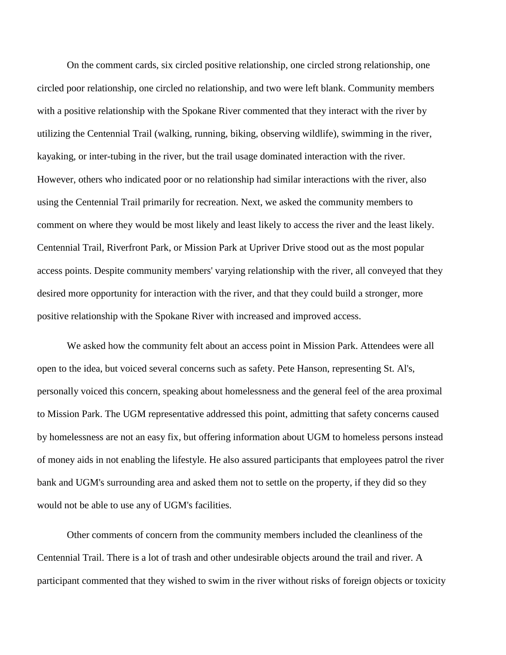On the comment cards, six circled positive relationship, one circled strong relationship, one circled poor relationship, one circled no relationship, and two were left blank. Community members with a positive relationship with the Spokane River commented that they interact with the river by utilizing the Centennial Trail (walking, running, biking, observing wildlife), swimming in the river, kayaking, or inter-tubing in the river, but the trail usage dominated interaction with the river. However, others who indicated poor or no relationship had similar interactions with the river, also using the Centennial Trail primarily for recreation. Next, we asked the community members to comment on where they would be most likely and least likely to access the river and the least likely. Centennial Trail, Riverfront Park, or Mission Park at Upriver Drive stood out as the most popular access points. Despite community members' varying relationship with the river, all conveyed that they desired more opportunity for interaction with the river, and that they could build a stronger, more positive relationship with the Spokane River with increased and improved access.

We asked how the community felt about an access point in Mission Park. Attendees were all open to the idea, but voiced several concerns such as safety. Pete Hanson, representing St. Al's, personally voiced this concern, speaking about homelessness and the general feel of the area proximal to Mission Park. The UGM representative addressed this point, admitting that safety concerns caused by homelessness are not an easy fix, but offering information about UGM to homeless persons instead of money aids in not enabling the lifestyle. He also assured participants that employees patrol the river bank and UGM's surrounding area and asked them not to settle on the property, if they did so they would not be able to use any of UGM's facilities.

Other comments of concern from the community members included the cleanliness of the Centennial Trail. There is a lot of trash and other undesirable objects around the trail and river. A participant commented that they wished to swim in the river without risks of foreign objects or toxicity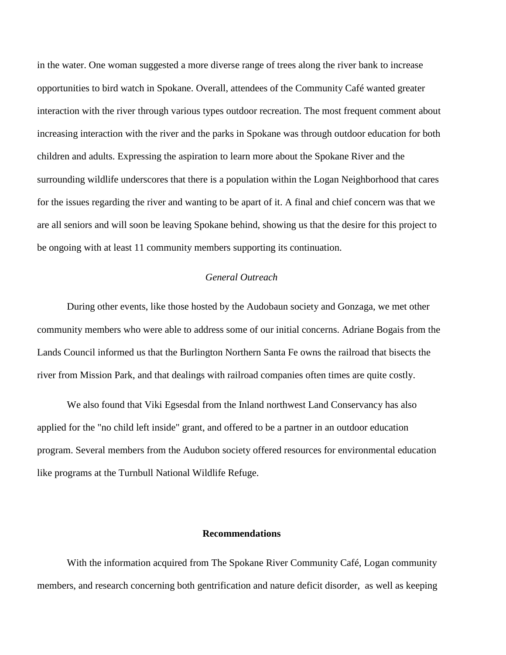in the water. One woman suggested a more diverse range of trees along the river bank to increase opportunities to bird watch in Spokane. Overall, attendees of the Community Café wanted greater interaction with the river through various types outdoor recreation. The most frequent comment about increasing interaction with the river and the parks in Spokane was through outdoor education for both children and adults. Expressing the aspiration to learn more about the Spokane River and the surrounding wildlife underscores that there is a population within the Logan Neighborhood that cares for the issues regarding the river and wanting to be apart of it. A final and chief concern was that we are all seniors and will soon be leaving Spokane behind, showing us that the desire for this project to be ongoing with at least 11 community members supporting its continuation.

# *General Outreach*

During other events, like those hosted by the Audobaun society and Gonzaga, we met other community members who were able to address some of our initial concerns. Adriane Bogais from the Lands Council informed us that the Burlington Northern Santa Fe owns the railroad that bisects the river from Mission Park, and that dealings with railroad companies often times are quite costly.

We also found that Viki Egsesdal from the Inland northwest Land Conservancy has also applied for the "no child left inside" grant, and offered to be a partner in an outdoor education program. Several members from the Audubon society offered resources for environmental education like programs at the Turnbull National Wildlife Refuge.

### **Recommendations**

With the information acquired from The Spokane River Community Café, Logan community members, and research concerning both gentrification and nature deficit disorder, as well as keeping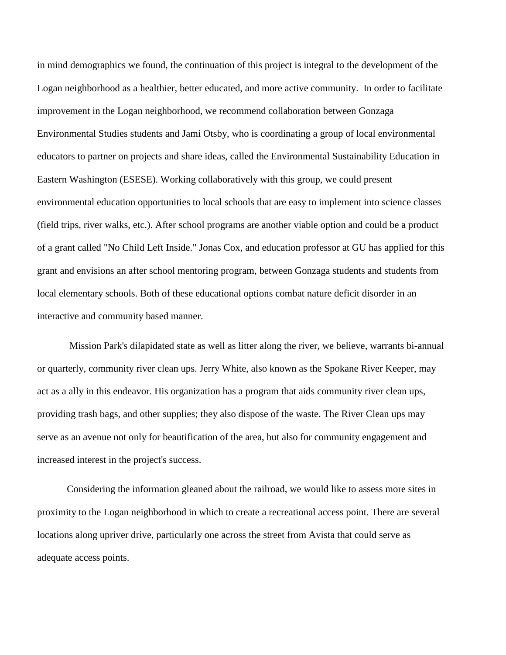in mind demographics we found, the continuation of this project is integral to the development of the Logan neighborhood as a healthier, better educated, and more active community. In order to facilitate improvement in the Logan neighborhood, we recommend collaboration between Gonzaga Environmental Studies students and Jami Otsby, who is coordinating a group of local environmental educators to partner on projects and share ideas, called the Environmental Sustainability Education in Eastern Washington (ESESE). Working collaboratively with this group, we could present environmental education opportunities to local schools that are easy to implement into science classes (field trips, river walks, etc.). After school programs are another viable option and could be a product of a grant called "No Child Left Inside." Jonas Cox, and education professor at GU has applied for this grant and envisions an after school mentoring program, between Gonzaga students and students from local elementary schools. Both of these educational options combat nature deficit disorder in an interactive and community based manner.

Mission Park's dilapidated state as well as litter along the river, we believe, warrants bi-annual or quarterly, community river clean ups. Jerry White, also known as the Spokane River Keeper, may act as a ally in this endeavor. His organization has a program that aids community river clean ups, providing trash bags, and other supplies; they also dispose of the waste. The River Clean ups may serve as an avenue not only for beautification of the area, but also for community engagement and increased interest in the project's success.

Considering the information gleaned about the railroad, we would like to assess more sites in proximity to the Logan neighborhood in which to create a recreational access point. There are several locations along upriver drive, particularly one across the street from Avista that could serve as adequate access points.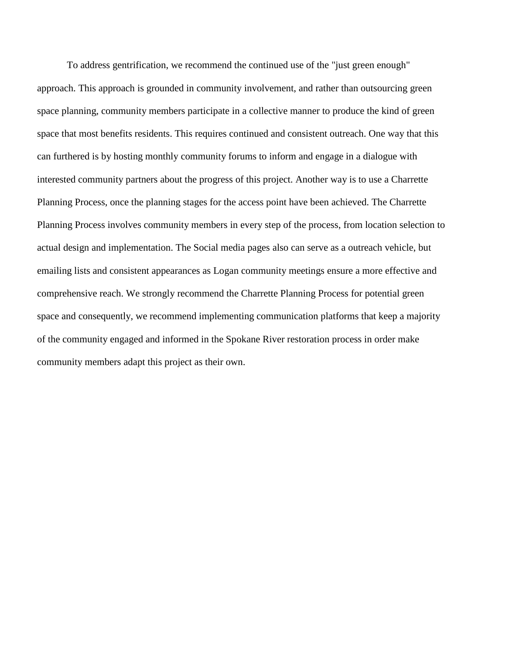To address gentrification, we recommend the continued use of the "just green enough" approach. This approach is grounded in community involvement, and rather than outsourcing green space planning, community members participate in a collective manner to produce the kind of green space that most benefits residents. This requires continued and consistent outreach. One way that this can furthered is by hosting monthly community forums to inform and engage in a dialogue with interested community partners about the progress of this project. Another way is to use a Charrette Planning Process, once the planning stages for the access point have been achieved. The Charrette Planning Process involves community members in every step of the process, from location selection to actual design and implementation. The Social media pages also can serve as a outreach vehicle, but emailing lists and consistent appearances as Logan community meetings ensure a more effective and comprehensive reach. We strongly recommend the Charrette Planning Process for potential green space and consequently, we recommend implementing communication platforms that keep a majority of the community engaged and informed in the Spokane River restoration process in order make community members adapt this project as their own.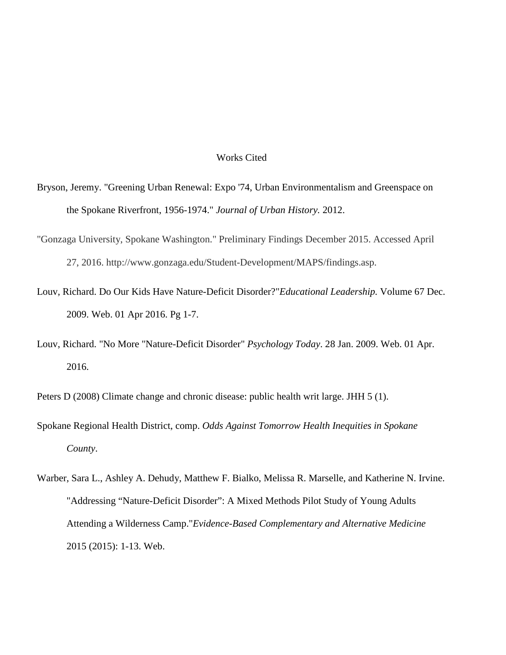#### Works Cited

- Bryson, Jeremy. "Greening Urban Renewal: Expo '74, Urban Environmentalism and Greenspace on the Spokane Riverfront, 1956-1974." *Journal of Urban History.* 2012.
- "Gonzaga University, Spokane Washington." Preliminary Findings December 2015. Accessed April 27, 2016. http://www.gonzaga.edu/Student-Development/MAPS/findings.asp.
- Louv, Richard. Do Our Kids Have Nature-Deficit Disorder?"*Educational Leadership.* Volume 67 Dec. 2009. Web. 01 Apr 2016. Pg 1-7.
- Louv, Richard. "No More "Nature-Deficit Disorder" *Psychology Today*. 28 Jan. 2009. Web. 01 Apr. 2016.

Peters D (2008) Climate change and chronic disease: public health writ large. JHH 5 (1).

- Spokane Regional Health District, comp. *Odds Against Tomorrow Health Inequities in Spokane County*.
- Warber, Sara L., Ashley A. Dehudy, Matthew F. Bialko, Melissa R. Marselle, and Katherine N. Irvine. "Addressing "Nature-Deficit Disorder": A Mixed Methods Pilot Study of Young Adults Attending a Wilderness Camp."*Evidence-Based Complementary and Alternative Medicine* 2015 (2015): 1-13. Web.